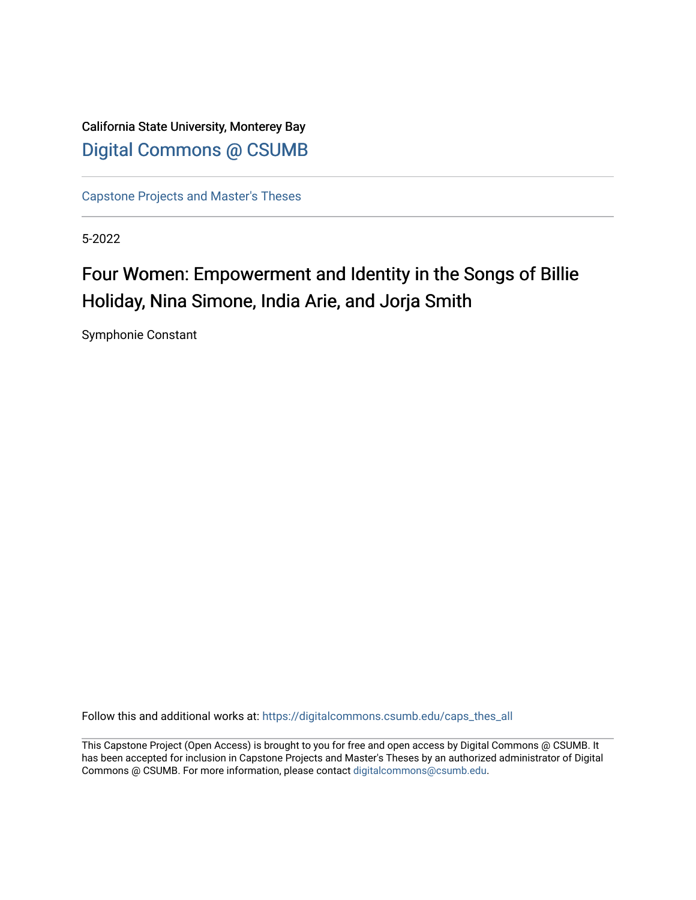California State University, Monterey Bay [Digital Commons @ CSUMB](https://digitalcommons.csumb.edu/)

[Capstone Projects and Master's Theses](https://digitalcommons.csumb.edu/caps_thes_all)

5-2022

## Four Women: Empowerment and Identity in the Songs of Billie Holiday, Nina Simone, India Arie, and Jorja Smith

Symphonie Constant

Follow this and additional works at: [https://digitalcommons.csumb.edu/caps\\_thes\\_all](https://digitalcommons.csumb.edu/caps_thes_all?utm_source=digitalcommons.csumb.edu%2Fcaps_thes_all%2F1292&utm_medium=PDF&utm_campaign=PDFCoverPages)

This Capstone Project (Open Access) is brought to you for free and open access by Digital Commons @ CSUMB. It has been accepted for inclusion in Capstone Projects and Master's Theses by an authorized administrator of Digital Commons @ CSUMB. For more information, please contact [digitalcommons@csumb.edu](mailto:digitalcommons@csumb.edu).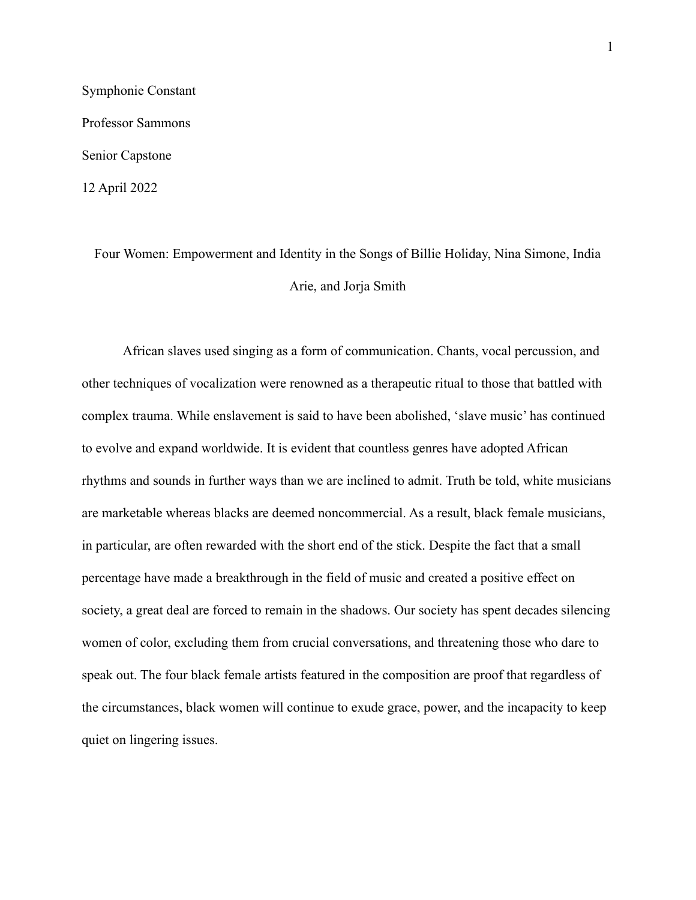Symphonie Constant Professor Sammons Senior Capstone 12 April 2022

> Four Women: Empowerment and Identity in the Songs of Billie Holiday, Nina Simone, India Arie, and Jorja Smith

African slaves used singing as a form of communication. Chants, vocal percussion, and other techniques of vocalization were renowned as a therapeutic ritual to those that battled with complex trauma. While enslavement is said to have been abolished, 'slave music' has continued to evolve and expand worldwide. It is evident that countless genres have adopted African rhythms and sounds in further ways than we are inclined to admit. Truth be told, white musicians are marketable whereas blacks are deemed noncommercial. As a result, black female musicians, in particular, are often rewarded with the short end of the stick. Despite the fact that a small percentage have made a breakthrough in the field of music and created a positive effect on society, a great deal are forced to remain in the shadows. Our society has spent decades silencing women of color, excluding them from crucial conversations, and threatening those who dare to speak out. The four black female artists featured in the composition are proof that regardless of the circumstances, black women will continue to exude grace, power, and the incapacity to keep quiet on lingering issues.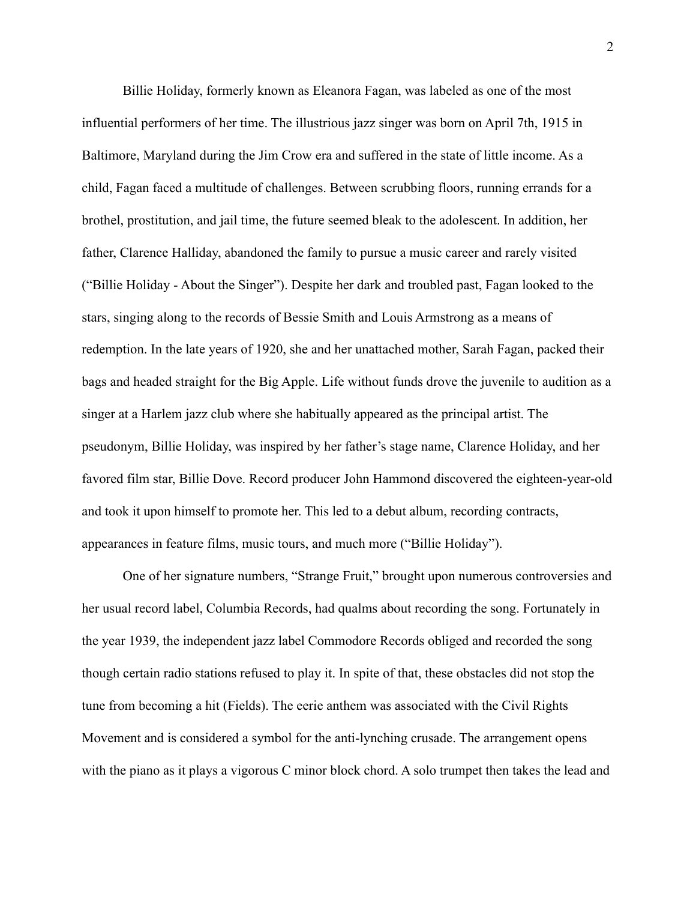Billie Holiday, formerly known as Eleanora Fagan, was labeled as one of the most influential performers of her time. The illustrious jazz singer was born on April 7th, 1915 in Baltimore, Maryland during the Jim Crow era and suffered in the state of little income. As a child, Fagan faced a multitude of challenges. Between scrubbing floors, running errands for a brothel, prostitution, and jail time, the future seemed bleak to the adolescent. In addition, her father, Clarence Halliday, abandoned the family to pursue a music career and rarely visited ("Billie Holiday - About the Singer"). Despite her dark and troubled past, Fagan looked to the stars, singing along to the records of Bessie Smith and Louis Armstrong as a means of redemption. In the late years of 1920, she and her unattached mother, Sarah Fagan, packed their bags and headed straight for the Big Apple. Life without funds drove the juvenile to audition as a singer at a Harlem jazz club where she habitually appeared as the principal artist. The pseudonym, Billie Holiday, was inspired by her father's stage name, Clarence Holiday, and her favored film star, Billie Dove. Record producer John Hammond discovered the eighteen-year-old and took it upon himself to promote her. This led to a debut album, recording contracts, appearances in feature films, music tours, and much more ("Billie Holiday").

One of her signature numbers, "Strange Fruit," brought upon numerous controversies and her usual record label, Columbia Records, had qualms about recording the song. Fortunately in the year 1939, the independent jazz label Commodore Records obliged and recorded the song though certain radio stations refused to play it. In spite of that, these obstacles did not stop the tune from becoming a hit (Fields). The eerie anthem was associated with the Civil Rights Movement and is considered a symbol for the anti-lynching crusade. The arrangement opens with the piano as it plays a vigorous C minor block chord. A solo trumpet then takes the lead and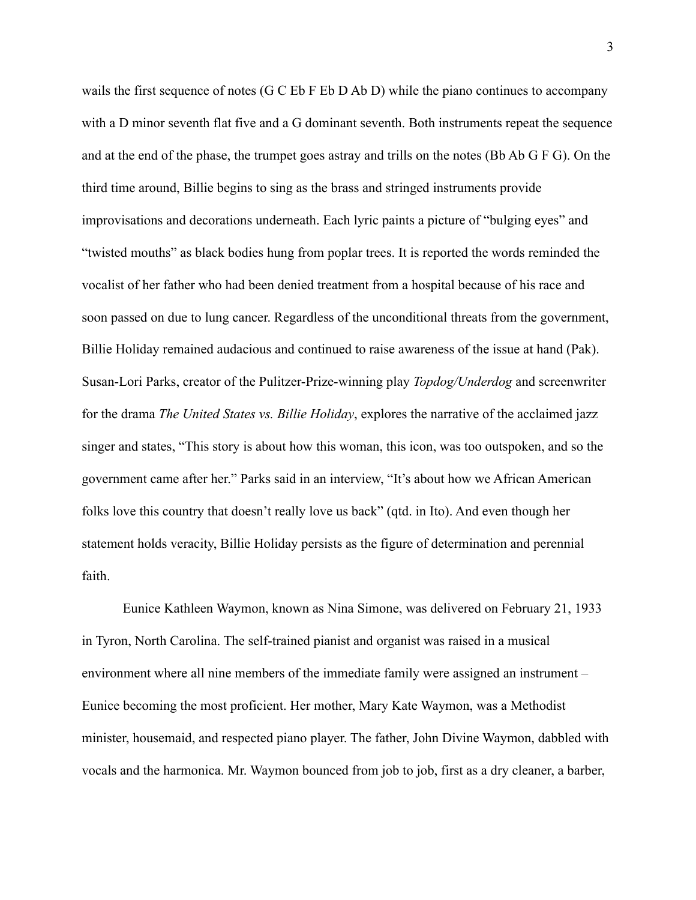wails the first sequence of notes (G C Eb F Eb D Ab D) while the piano continues to accompany with a D minor seventh flat five and a G dominant seventh. Both instruments repeat the sequence and at the end of the phase, the trumpet goes astray and trills on the notes (Bb Ab G F G). On the third time around, Billie begins to sing as the brass and stringed instruments provide improvisations and decorations underneath. Each lyric paints a picture of "bulging eyes" and "twisted mouths" as black bodies hung from poplar trees. It is reported the words reminded the vocalist of her father who had been denied treatment from a hospital because of his race and soon passed on due to lung cancer. Regardless of the unconditional threats from the government, Billie Holiday remained audacious and continued to raise awareness of the issue at hand (Pak). Susan-Lori Parks, creator of the Pulitzer-Prize-winning play *Topdog/Underdog* and screenwriter for the drama *The United States vs. Billie Holiday*, explores the narrative of the acclaimed jazz singer and states, "This story is about how this woman, this icon, was too outspoken, and so the government came after her." Parks said in an interview, "It's about how we African American folks love this country that doesn't really love us back" (qtd. in Ito). And even though her statement holds veracity, Billie Holiday persists as the figure of determination and perennial faith.

Eunice Kathleen Waymon, known as Nina Simone, was delivered on February 21, 1933 in Tyron, North Carolina. The self-trained pianist and organist was raised in a musical environment where all nine members of the immediate family were assigned an instrument – Eunice becoming the most proficient. Her mother, Mary Kate Waymon, was a Methodist minister, housemaid, and respected piano player. The father, John Divine Waymon, dabbled with vocals and the harmonica. Mr. Waymon bounced from job to job, first as a dry cleaner, a barber,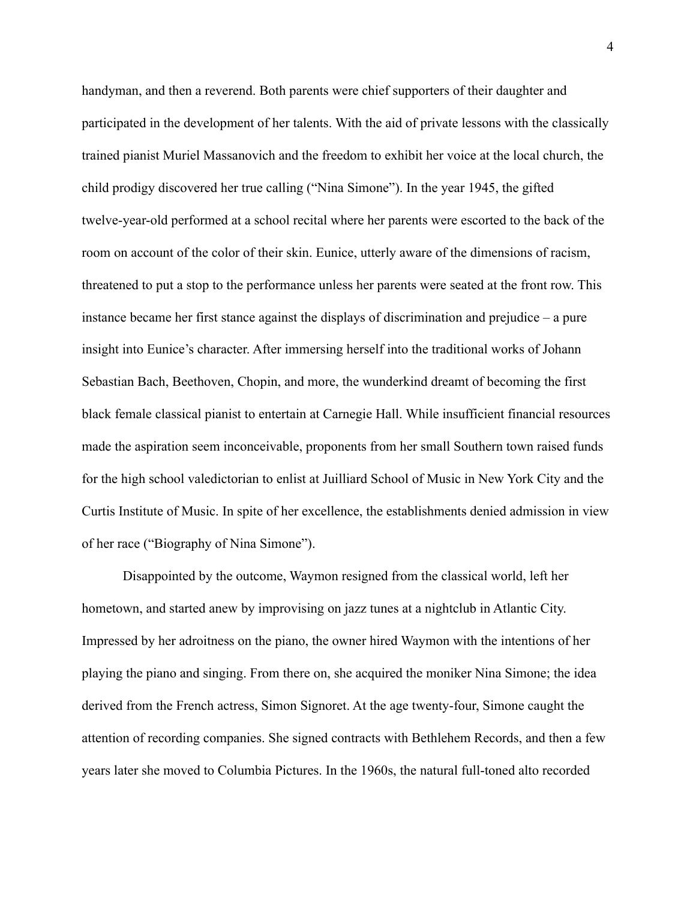handyman, and then a reverend. Both parents were chief supporters of their daughter and participated in the development of her talents. With the aid of private lessons with the classically trained pianist Muriel Massanovich and the freedom to exhibit her voice at the local church, the child prodigy discovered her true calling ("Nina Simone"). In the year 1945, the gifted twelve-year-old performed at a school recital where her parents were escorted to the back of the room on account of the color of their skin. Eunice, utterly aware of the dimensions of racism, threatened to put a stop to the performance unless her parents were seated at the front row. This instance became her first stance against the displays of discrimination and prejudice – a pure insight into Eunice's character. After immersing herself into the traditional works of Johann Sebastian Bach, Beethoven, Chopin, and more, the wunderkind dreamt of becoming the first black female classical pianist to entertain at Carnegie Hall. While insufficient financial resources made the aspiration seem inconceivable, proponents from her small Southern town raised funds for the high school valedictorian to enlist at Juilliard School of Music in New York City and the Curtis Institute of Music. In spite of her excellence, the establishments denied admission in view of her race ("Biography of Nina Simone").

Disappointed by the outcome, Waymon resigned from the classical world, left her hometown, and started anew by improvising on jazz tunes at a nightclub in Atlantic City. Impressed by her adroitness on the piano, the owner hired Waymon with the intentions of her playing the piano and singing. From there on, she acquired the moniker Nina Simone; the idea derived from the French actress, Simon Signoret. At the age twenty-four, Simone caught the attention of recording companies. She signed contracts with Bethlehem Records, and then a few years later she moved to Columbia Pictures. In the 1960s, the natural full-toned alto recorded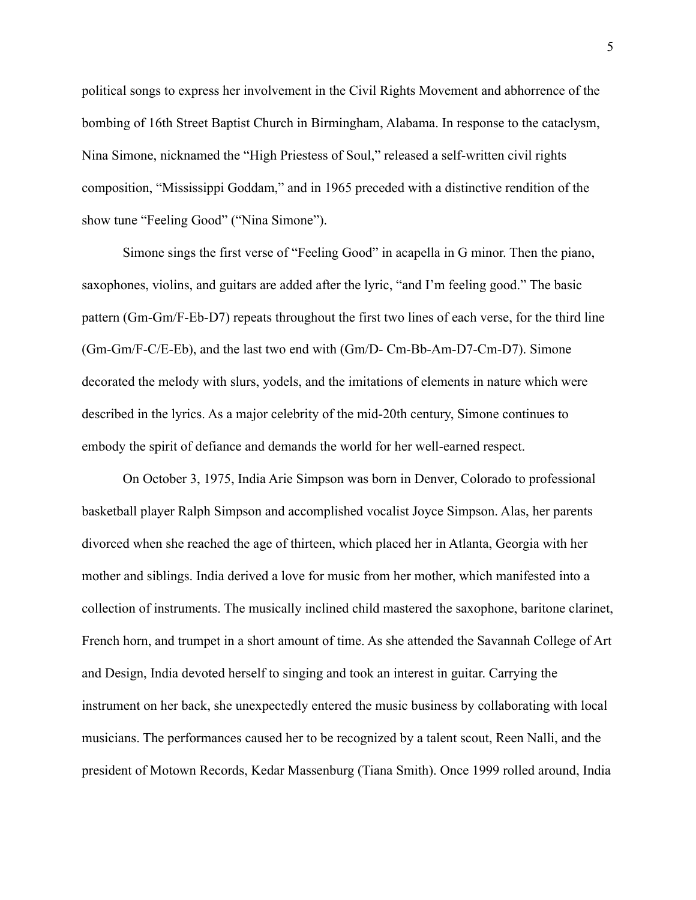political songs to express her involvement in the Civil Rights Movement and abhorrence of the bombing of 16th Street Baptist Church in Birmingham, Alabama. In response to the cataclysm, Nina Simone, nicknamed the "High Priestess of Soul," released a self-written civil rights composition, "Mississippi Goddam," and in 1965 preceded with a distinctive rendition of the show tune "Feeling Good" ("Nina Simone").

Simone sings the first verse of "Feeling Good" in acapella in G minor. Then the piano, saxophones, violins, and guitars are added after the lyric, "and I'm feeling good." The basic pattern (Gm-Gm/F-Eb-D7) repeats throughout the first two lines of each verse, for the third line (Gm-Gm/F-C/E-Eb), and the last two end with (Gm/D- Cm-Bb-Am-D7-Cm-D7). Simone decorated the melody with slurs, yodels, and the imitations of elements in nature which were described in the lyrics. As a major celebrity of the mid-20th century, Simone continues to embody the spirit of defiance and demands the world for her well-earned respect.

On October 3, 1975, India Arie Simpson was born in Denver, Colorado to professional basketball player Ralph Simpson and accomplished vocalist Joyce Simpson. Alas, her parents divorced when she reached the age of thirteen, which placed her in Atlanta, Georgia with her mother and siblings. India derived a love for music from her mother, which manifested into a collection of instruments. The musically inclined child mastered the saxophone, baritone clarinet, French horn, and trumpet in a short amount of time. As she attended the Savannah College of Art and Design, India devoted herself to singing and took an interest in guitar. Carrying the instrument on her back, she unexpectedly entered the music business by collaborating with local musicians. The performances caused her to be recognized by a talent scout, Reen Nalli, and the president of Motown Records, Kedar Massenburg (Tiana Smith). Once 1999 rolled around, India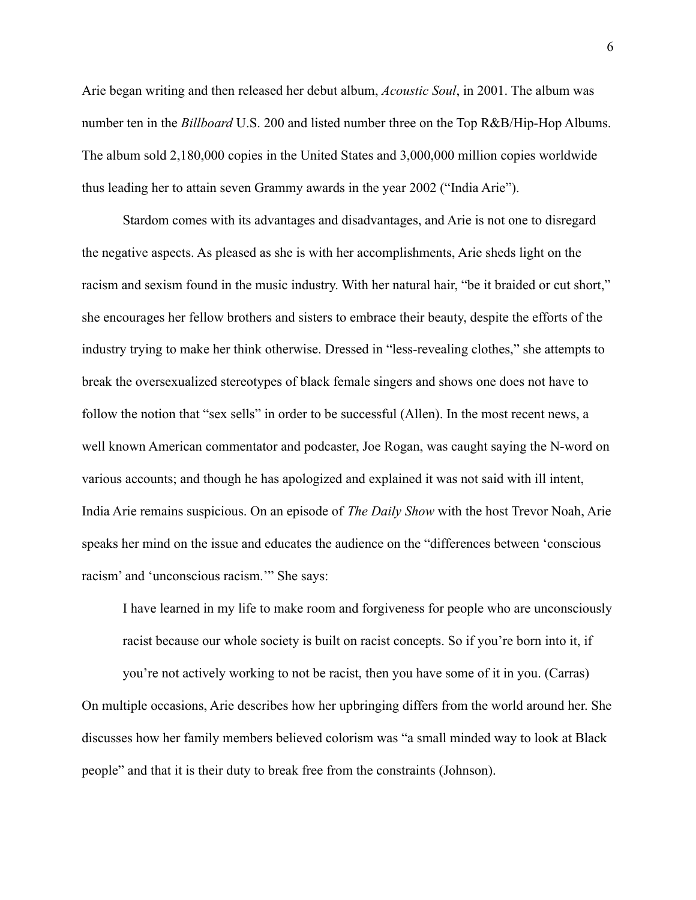Arie began writing and then released her debut album, *Acoustic Soul*, in 2001. The album was number ten in the *Billboard* U.S. 200 and listed number three on the Top R&B/Hip-Hop Albums. The album sold 2,180,000 copies in the United States and 3,000,000 million copies worldwide thus leading her to attain seven Grammy awards in the year 2002 ("India Arie").

Stardom comes with its advantages and disadvantages, and Arie is not one to disregard the negative aspects. As pleased as she is with her accomplishments, Arie sheds light on the racism and sexism found in the music industry. With her natural hair, "be it braided or cut short," she encourages her fellow brothers and sisters to embrace their beauty, despite the efforts of the industry trying to make her think otherwise. Dressed in "less-revealing clothes," she attempts to break the oversexualized stereotypes of black female singers and shows one does not have to follow the notion that "sex sells" in order to be successful (Allen). In the most recent news, a well known American commentator and podcaster, Joe Rogan, was caught saying the N-word on various accounts; and though he has apologized and explained it was not said with ill intent, India Arie remains suspicious. On an episode of *The Daily Show* with the host Trevor Noah, Arie speaks her mind on the issue and educates the audience on the "differences between 'conscious racism' and 'unconscious racism.'" She says:

I have learned in my life to make room and forgiveness for people who are unconsciously racist because our whole society is built on racist concepts. So if you're born into it, if

you're not actively working to not be racist, then you have some of it in you. (Carras) On multiple occasions, Arie describes how her upbringing differs from the world around her. She discusses how her family members believed colorism was "a small minded way to look at Black people" and that it is their duty to break free from the constraints (Johnson).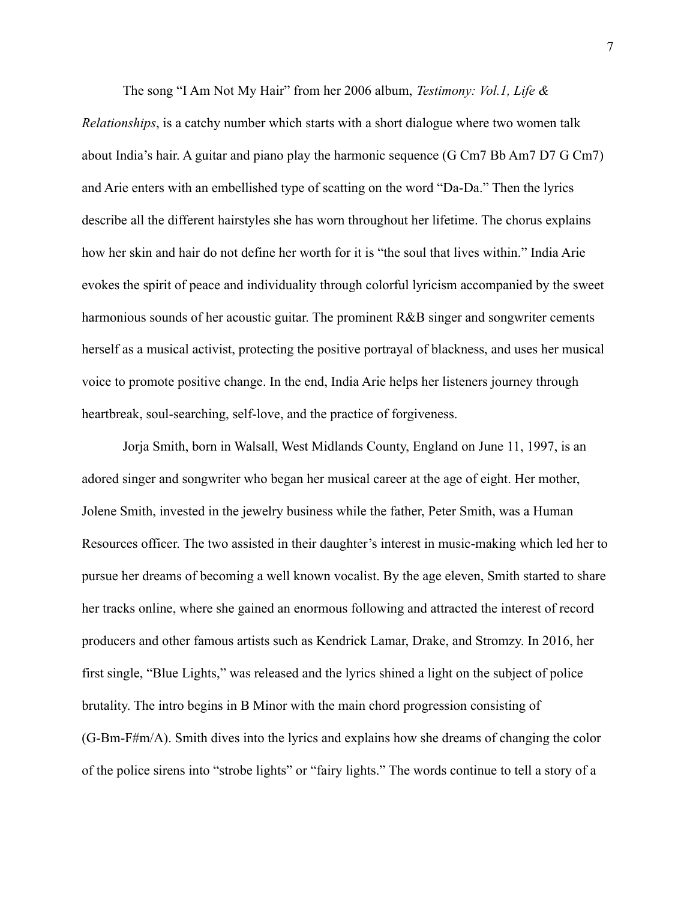The song "I Am Not My Hair" from her 2006 album, *Testimony: Vol.1, Life &*

*Relationships*, is a catchy number which starts with a short dialogue where two women talk about India's hair. A guitar and piano play the harmonic sequence (G Cm7 Bb Am7 D7 G Cm7) and Arie enters with an embellished type of scatting on the word "Da-Da." Then the lyrics describe all the different hairstyles she has worn throughout her lifetime. The chorus explains how her skin and hair do not define her worth for it is "the soul that lives within." India Arie evokes the spirit of peace and individuality through colorful lyricism accompanied by the sweet harmonious sounds of her acoustic guitar. The prominent R&B singer and songwriter cements herself as a musical activist, protecting the positive portrayal of blackness, and uses her musical voice to promote positive change. In the end, India Arie helps her listeners journey through heartbreak, soul-searching, self-love, and the practice of forgiveness.

Jorja Smith, born in Walsall, West Midlands County, England on June 11, 1997, is an adored singer and songwriter who began her musical career at the age of eight. Her mother, Jolene Smith, invested in the jewelry business while the father, Peter Smith, was a Human Resources officer. The two assisted in their daughter's interest in music-making which led her to pursue her dreams of becoming a well known vocalist. By the age eleven, Smith started to share her tracks online, where she gained an enormous following and attracted the interest of record producers and other famous artists such as Kendrick Lamar, Drake, and Stromzy. In 2016, her first single, "Blue Lights," was released and the lyrics shined a light on the subject of police brutality. The intro begins in B Minor with the main chord progression consisting of (G-Bm-F#m/A). Smith dives into the lyrics and explains how she dreams of changing the color of the police sirens into "strobe lights" or "fairy lights." The words continue to tell a story of a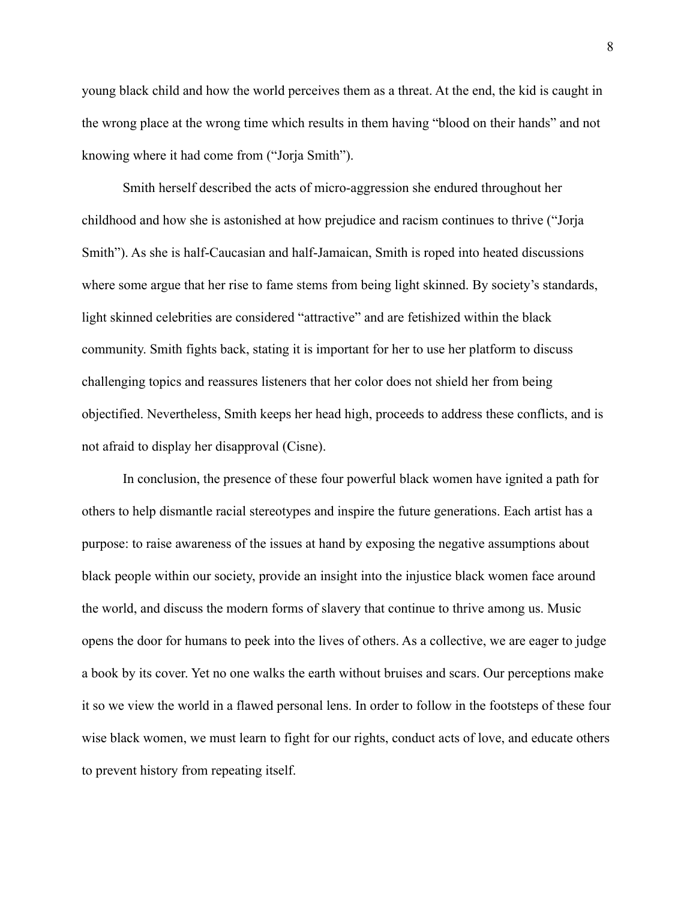young black child and how the world perceives them as a threat. At the end, the kid is caught in the wrong place at the wrong time which results in them having "blood on their hands" and not knowing where it had come from ("Jorja Smith").

Smith herself described the acts of micro-aggression she endured throughout her childhood and how she is astonished at how prejudice and racism continues to thrive ("Jorja Smith"). As she is half-Caucasian and half-Jamaican, Smith is roped into heated discussions where some argue that her rise to fame stems from being light skinned. By society's standards, light skinned celebrities are considered "attractive" and are fetishized within the black community. Smith fights back, stating it is important for her to use her platform to discuss challenging topics and reassures listeners that her color does not shield her from being objectified. Nevertheless, Smith keeps her head high, proceeds to address these conflicts, and is not afraid to display her disapproval (Cisne).

In conclusion, the presence of these four powerful black women have ignited a path for others to help dismantle racial stereotypes and inspire the future generations. Each artist has a purpose: to raise awareness of the issues at hand by exposing the negative assumptions about black people within our society, provide an insight into the injustice black women face around the world, and discuss the modern forms of slavery that continue to thrive among us. Music opens the door for humans to peek into the lives of others. As a collective, we are eager to judge a book by its cover. Yet no one walks the earth without bruises and scars. Our perceptions make it so we view the world in a flawed personal lens. In order to follow in the footsteps of these four wise black women, we must learn to fight for our rights, conduct acts of love, and educate others to prevent history from repeating itself.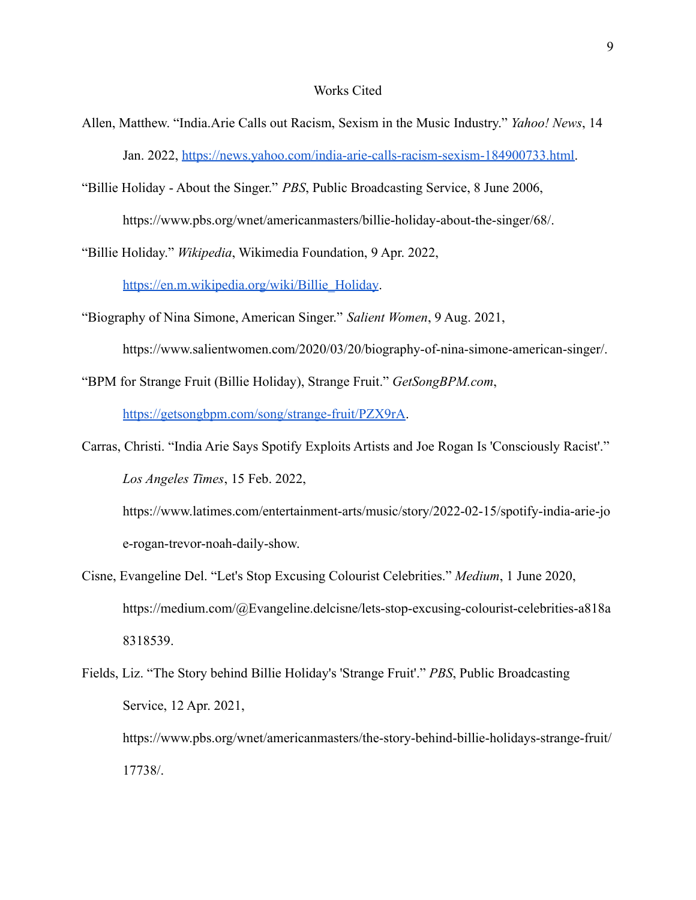## Works Cited

- Allen, Matthew. "India.Arie Calls out Racism, Sexism in the Music Industry." *Yahoo! News*, 14 Jan. 2022, [https://news.yahoo.com/india-arie-calls-racism-sexism-184900733.html.](https://news.yahoo.com/india-arie-calls-racism-sexism-184900733.html)
- "Billie Holiday About the Singer." *PBS*, Public Broadcasting Service, 8 June 2006, https://www.pbs.org/wnet/americanmasters/billie-holiday-about-the-singer/68/.
- "Billie Holiday." *Wikipedia*, Wikimedia Foundation, 9 Apr. 2022,

[https://en.m.wikipedia.org/wiki/Billie\\_Holiday](https://en.m.wikipedia.org/wiki/Billie_Holiday).

- "Biography of Nina Simone, American Singer." *Salient Women*, 9 Aug. 2021,
	- https://www.salientwomen.com/2020/03/20/biography-of-nina-simone-american-singer/.
- "BPM for Strange Fruit (Billie Holiday), Strange Fruit." *GetSongBPM.com*,

[https://getsongbpm.com/song/strange-fruit/PZX9rA.](https://getsongbpm.com/song/strange-fruit/PZX9rA)

Carras, Christi. "India Arie Says Spotify Exploits Artists and Joe Rogan Is 'Consciously Racist'." *Los Angeles Times*, 15 Feb. 2022,

https://www.latimes.com/entertainment-arts/music/story/2022-02-15/spotify-india-arie-jo e-rogan-trevor-noah-daily-show.

- Cisne, Evangeline Del. "Let's Stop Excusing Colourist Celebrities." *Medium*, 1 June 2020, https://medium.com/@Evangeline.delcisne/lets-stop-excusing-colourist-celebrities-a818a 8318539.
- Fields, Liz. "The Story behind Billie Holiday's 'Strange Fruit'." *PBS*, Public Broadcasting Service, 12 Apr. 2021, https://www.pbs.org/wnet/americanmasters/the-story-behind-billie-holidays-strange-fruit/ 17738/.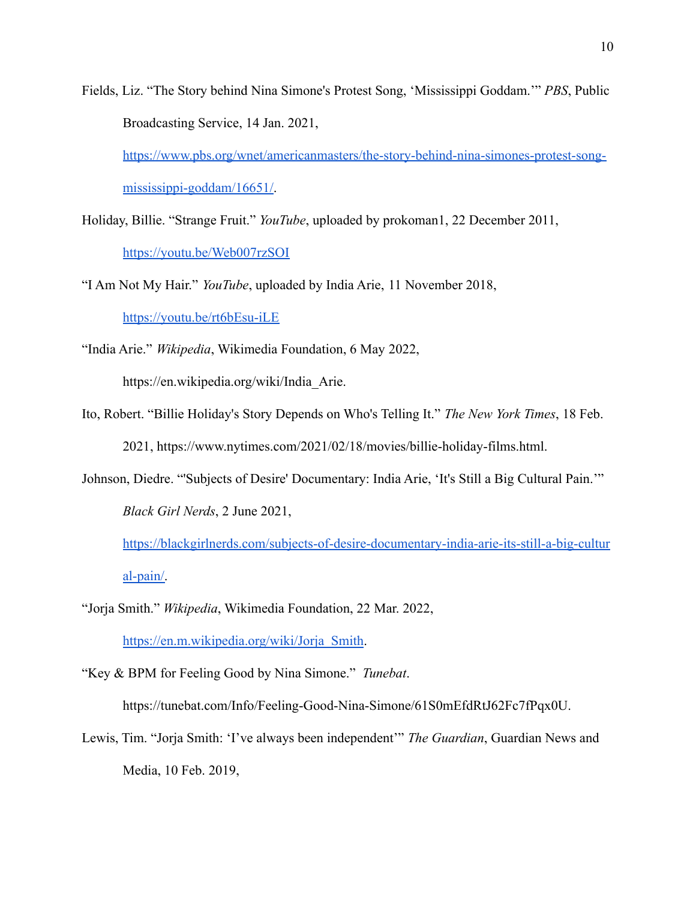Fields, Liz. "The Story behind Nina Simone's Protest Song, 'Mississippi Goddam.'" *PBS*, Public Broadcasting Service, 14 Jan. 2021,

[https://www.pbs.org/wnet/americanmasters/the-story-behind-nina-simones-protest-song](https://www.pbs.org/wnet/americanmasters/the-story-behind-nina-simones-protest-song-mississippi-goddam/16651/)[mississippi-goddam/16651/.](https://www.pbs.org/wnet/americanmasters/the-story-behind-nina-simones-protest-song-mississippi-goddam/16651/)

Holiday, Billie. "Strange Fruit." *YouTube*, uploaded by prokoman1, 22 December 2011, <https://youtu.be/Web007rzSOI>

"I Am Not My Hair." *YouTube*, uploaded by India Arie, 11 November 2018, <https://youtu.be/rt6bEsu-iLE>

"India Arie." *Wikipedia*, Wikimedia Foundation, 6 May 2022, https://en.wikipedia.org/wiki/India\_Arie.

- Ito, Robert. "Billie Holiday's Story Depends on Who's Telling It." *The New York Times*, 18 Feb. 2021, https://www.nytimes.com/2021/02/18/movies/billie-holiday-films.html.
- Johnson, Diedre. "'Subjects of Desire' Documentary: India Arie, 'It's Still a Big Cultural Pain.'" *Black Girl Nerds*, 2 June 2021,

[https://blackgirlnerds.com/subjects-of-desire-documentary-india-arie-its-still-a-big-cultur](https://blackgirlnerds.com/subjects-of-desire-documentary-india-arie-its-still-a-big-cultural-pain/) [al-pain/.](https://blackgirlnerds.com/subjects-of-desire-documentary-india-arie-its-still-a-big-cultural-pain/)

"Jorja Smith." *Wikipedia*, Wikimedia Foundation, 22 Mar. 2022, [https://en.m.wikipedia.org/wiki/Jorja\\_Smith](https://en.m.wikipedia.org/wiki/Jorja_Smith).

"Key & BPM for Feeling Good by Nina Simone." *Tunebat*.

https://tunebat.com/Info/Feeling-Good-Nina-Simone/61S0mEfdRtJ62Fc7fPqx0U.

Lewis, Tim. "Jorja Smith: 'I've always been independent'" *The Guardian*, Guardian News and Media, 10 Feb. 2019,